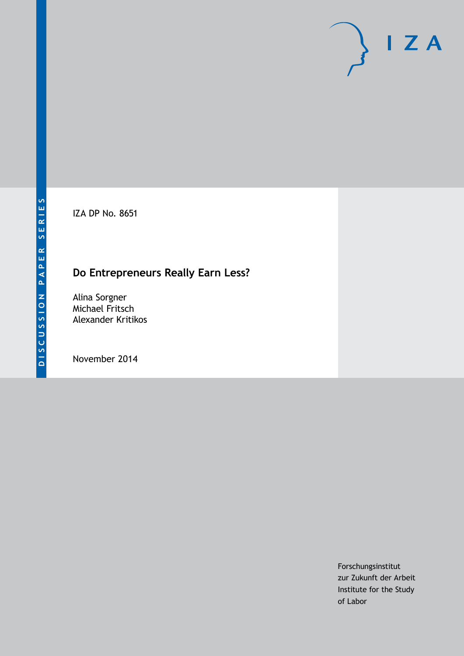IZA DP No. 8651

# **Do Entrepreneurs Really Earn Less?**

Alina Sorgner Michael Fritsch Alexander Kritikos

November 2014

Forschungsinstitut zur Zukunft der Arbeit Institute for the Study of Labor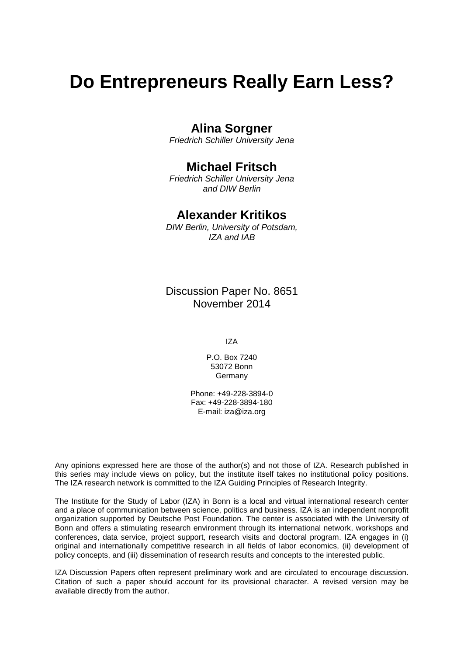# **Do Entrepreneurs Really Earn Less?**

# **Alina Sorgner**

*Friedrich Schiller University Jena*

## **Michael Fritsch**

*Friedrich Schiller University Jena and DIW Berlin*

### **Alexander Kritikos**

*DIW Berlin, University of Potsdam, IZA and IAB*

Discussion Paper No. 8651 November 2014

IZA

P.O. Box 7240 53072 Bonn Germany

Phone: +49-228-3894-0 Fax: +49-228-3894-180 E-mail: [iza@iza.org](mailto:iza@iza.org)

Any opinions expressed here are those of the author(s) and not those of IZA. Research published in this series may include views on policy, but the institute itself takes no institutional policy positions. The IZA research network is committed to the IZA Guiding Principles of Research Integrity.

The Institute for the Study of Labor (IZA) in Bonn is a local and virtual international research center and a place of communication between science, politics and business. IZA is an independent nonprofit organization supported by Deutsche Post Foundation. The center is associated with the University of Bonn and offers a stimulating research environment through its international network, workshops and conferences, data service, project support, research visits and doctoral program. IZA engages in (i) original and internationally competitive research in all fields of labor economics, (ii) development of policy concepts, and (iii) dissemination of research results and concepts to the interested public.

<span id="page-1-0"></span>IZA Discussion Papers often represent preliminary work and are circulated to encourage discussion. Citation of such a paper should account for its provisional character. A revised version may be available directly from the author.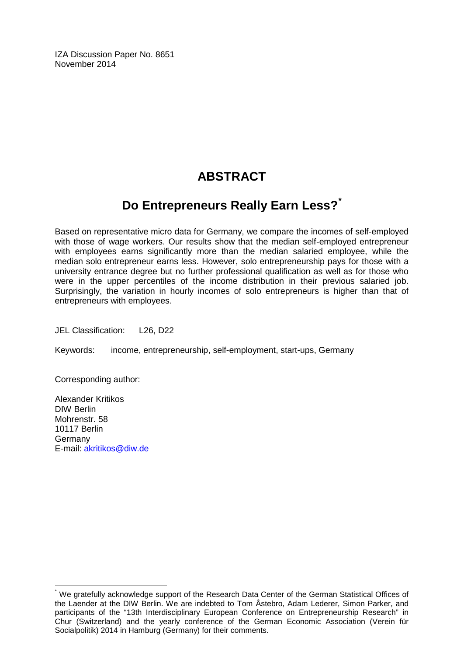IZA Discussion Paper No. 8651 November 2014

# **ABSTRACT**

# **Do Entrepreneurs Really Earn Less?[\\*](#page-1-0)**

Based on representative micro data for Germany, we compare the incomes of self-employed with those of wage workers. Our results show that the median self-employed entrepreneur with employees earns significantly more than the median salaried employee, while the median solo entrepreneur earns less. However, solo entrepreneurship pays for those with a university entrance degree but no further professional qualification as well as for those who were in the upper percentiles of the income distribution in their previous salaried job. Surprisingly, the variation in hourly incomes of solo entrepreneurs is higher than that of entrepreneurs with employees.

JEL Classification: L26, D22

Keywords: income, entrepreneurship, self-employment, start-ups, Germany

Corresponding author:

Alexander Kritikos DIW Berlin Mohrenstr. 58 10117 Berlin Germany E-mail: [akritikos@diw.de](mailto:akritikos@diw.de)

We gratefully acknowledge support of the Research Data Center of the German Statistical Offices of the Laender at the DIW Berlin. We are indebted to Tom Åstebro, Adam Lederer, Simon Parker, and participants of the "13th Interdisciplinary European Conference on Entrepreneurship Research" in Chur (Switzerland) and the yearly conference of the German Economic Association (Verein für Socialpolitik) 2014 in Hamburg (Germany) for their comments.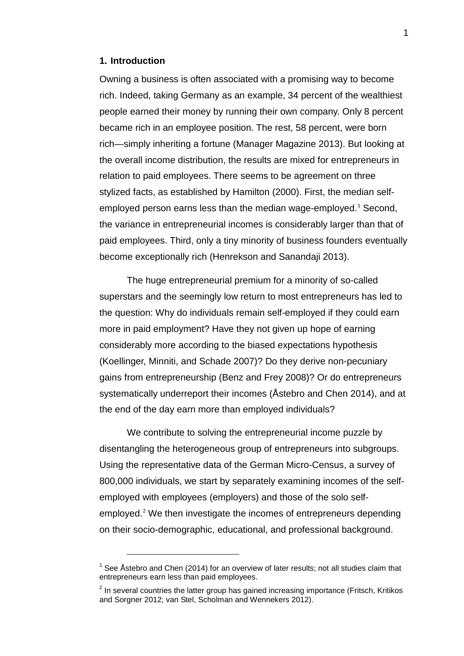#### **1. Introduction**

 $\overline{a}$ 

Owning a business is often associated with a promising way to become rich. Indeed, taking Germany as an example, 34 percent of the wealthiest people earned their money by running their own company. Only 8 percent became rich in an employee position. The rest, 58 percent, were born rich—simply inheriting a fortune (Manager Magazine 2013). But looking at the overall income distribution, the results are mixed for entrepreneurs in relation to paid employees. There seems to be agreement on three stylized facts, as established by Hamilton (2000). First, the median selfemployed person earns less than the median wage-employed.<sup>1</sup> Second, the variance in entrepreneurial incomes is considerably larger than that of paid employees. Third, only a tiny minority of business founders eventually become exceptionally rich (Henrekson and Sanandaji 2013).

The huge entrepreneurial premium for a minority of so-called superstars and the seemingly low return to most entrepreneurs has led to the question: Why do individuals remain self-employed if they could earn more in paid employment? Have they not given up hope of earning considerably more according to the biased expectations hypothesis (Koellinger, Minniti, and Schade 2007)? Do they derive non-pecuniary gains from entrepreneurship (Benz and Frey 2008)? Or do entrepreneurs systematically underreport their incomes (Åstebro and Chen 2014), and at the end of the day earn more than employed individuals?

We contribute to solving the entrepreneurial income puzzle by disentangling the heterogeneous group of entrepreneurs into subgroups. Using the representative data of the German Micro-Census, a survey of 800,000 individuals, we start by separately examining incomes of the selfemployed with employees (employers) and those of the solo self-employed.<sup>[2](#page-3-0)</sup> We then investigate the incomes of entrepreneurs depending on their socio-demographic, educational, and professional background.

 $1$  See Åstebro and Chen (2014) for an overview of later results; not all studies claim that entrepreneurs earn less than paid employees.

<span id="page-3-1"></span><span id="page-3-0"></span> $<sup>2</sup>$  In several countries the latter group has gained increasing importance (Fritsch, Kritikos</sup> and Sorgner 2012; van Stel, Scholman and Wennekers 2012).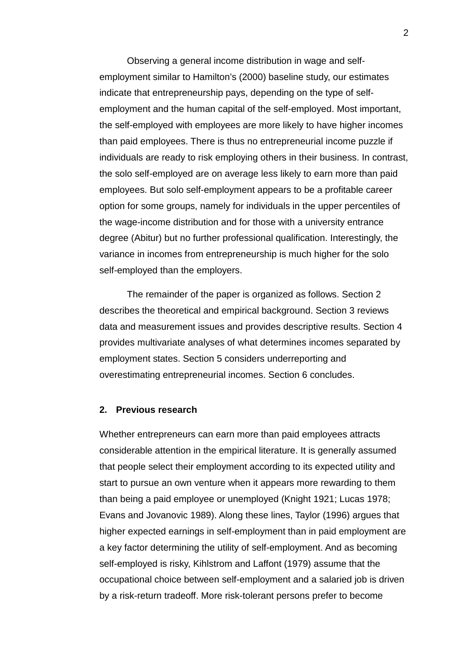Observing a general income distribution in wage and selfemployment similar to Hamilton's (2000) baseline study, our estimates indicate that entrepreneurship pays, depending on the type of selfemployment and the human capital of the self-employed. Most important, the self-employed with employees are more likely to have higher incomes than paid employees. There is thus no entrepreneurial income puzzle if individuals are ready to risk employing others in their business. In contrast, the solo self-employed are on average less likely to earn more than paid employees. But solo self-employment appears to be a profitable career option for some groups, namely for individuals in the upper percentiles of the wage-income distribution and for those with a university entrance degree (Abitur) but no further professional qualification. Interestingly, the variance in incomes from entrepreneurship is much higher for the solo self-employed than the employers.

The remainder of the paper is organized as follows. Section 2 describes the theoretical and empirical background. Section 3 reviews data and measurement issues and provides descriptive results. Section 4 provides multivariate analyses of what determines incomes separated by employment states. Section 5 considers underreporting and overestimating entrepreneurial incomes. Section 6 concludes.

#### **2. Previous research**

Whether entrepreneurs can earn more than paid employees attracts considerable attention in the empirical literature. It is generally assumed that people select their employment according to its expected utility and start to pursue an own venture when it appears more rewarding to them than being a paid employee or unemployed (Knight 1921; Lucas 1978; Evans and Jovanovic 1989). Along these lines, Taylor (1996) argues that higher expected earnings in self-employment than in paid employment are a key factor determining the utility of self-employment. And as becoming self-employed is risky, Kihlstrom and Laffont (1979) assume that the occupational choice between self-employment and a salaried job is driven by a risk-return tradeoff. More risk-tolerant persons prefer to become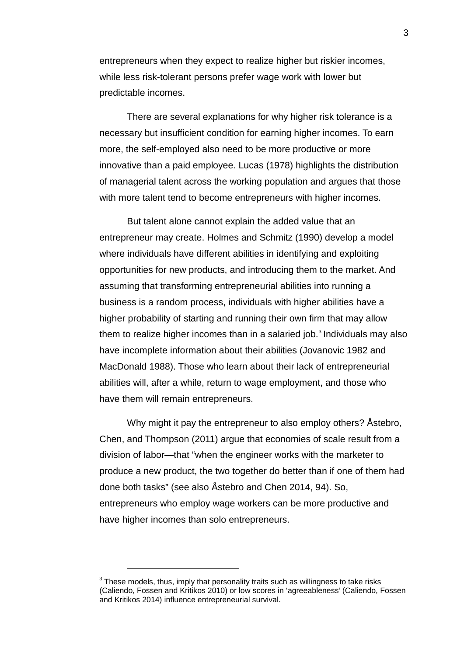entrepreneurs when they expect to realize higher but riskier incomes, while less risk-tolerant persons prefer wage work with lower but predictable incomes.

There are several explanations for why higher risk tolerance is a necessary but insufficient condition for earning higher incomes. To earn more, the self-employed also need to be more productive or more innovative than a paid employee. Lucas (1978) highlights the distribution of managerial talent across the working population and argues that those with more talent tend to become entrepreneurs with higher incomes.

But talent alone cannot explain the added value that an entrepreneur may create. Holmes and Schmitz (1990) develop a model where individuals have different abilities in identifying and exploiting opportunities for new products, and introducing them to the market. And assuming that transforming entrepreneurial abilities into running a business is a random process, individuals with higher abilities have a higher probability of starting and running their own firm that may allow them to realize higher incomes than in a salaried job. $3$  Individuals may also have incomplete information about their abilities (Jovanovic 1982 and MacDonald 1988). Those who learn about their lack of entrepreneurial abilities will, after a while, return to wage employment, and those who have them will remain entrepreneurs.

Why might it pay the entrepreneur to also employ others? Åstebro, Chen, and Thompson (2011) argue that economies of scale result from a division of labor—that "when the engineer works with the marketer to produce a new product, the two together do better than if one of them had done both tasks" (see also Åstebro and Chen 2014, 94). So, entrepreneurs who employ wage workers can be more productive and have higher incomes than solo entrepreneurs.

<span id="page-5-0"></span> $3$  These models, thus, imply that personality traits such as willingness to take risks (Caliendo, Fossen and Kritikos 2010) or low scores in 'agreeableness' (Caliendo, Fossen and Kritikos 2014) influence entrepreneurial survival.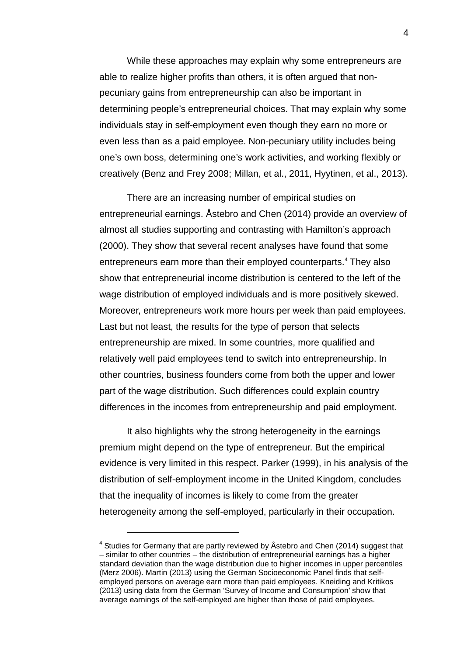While these approaches may explain why some entrepreneurs are able to realize higher profits than others, it is often argued that nonpecuniary gains from entrepreneurship can also be important in determining people's entrepreneurial choices. That may explain why some individuals stay in self-employment even though they earn no more or even less than as a paid employee. Non-pecuniary utility includes being one's own boss, determining one's work activities, and working flexibly or creatively (Benz and Frey 2008; Millan, et al., 2011, Hyytinen, et al., 2013).

There are an increasing number of empirical studies on entrepreneurial earnings. Åstebro and Chen (2014) provide an overview of almost all studies supporting and contrasting with Hamilton's approach (2000). They show that several recent analyses have found that some entrepreneurs earn more than their employed counterparts.<sup>[4](#page-5-0)</sup> They also show that entrepreneurial income distribution is centered to the left of the wage distribution of employed individuals and is more positively skewed. Moreover, entrepreneurs work more hours per week than paid employees. Last but not least, the results for the type of person that selects entrepreneurship are mixed. In some countries, more qualified and relatively well paid employees tend to switch into entrepreneurship. In other countries, business founders come from both the upper and lower part of the wage distribution. Such differences could explain country differences in the incomes from entrepreneurship and paid employment.

It also highlights why the strong heterogeneity in the earnings premium might depend on the type of entrepreneur. But the empirical evidence is very limited in this respect. Parker (1999), in his analysis of the distribution of self-employment income in the United Kingdom, concludes that the inequality of incomes is likely to come from the greater heterogeneity among the self-employed, particularly in their occupation.

<span id="page-6-0"></span> $4$  Studies for Germany that are partly reviewed by  $\AA$ stebro and Chen (2014) suggest that – similar to other countries – the distribution of entrepreneurial earnings has a higher standard deviation than the wage distribution due to higher incomes in upper percentiles (Merz 2006). Martin (2013) using the German Socioeconomic Panel finds that selfemployed persons on average earn more than paid employees. Kneiding and Kritikos (2013) using data from the German 'Survey of Income and Consumption' show that average earnings of the self-employed are higher than those of paid employees.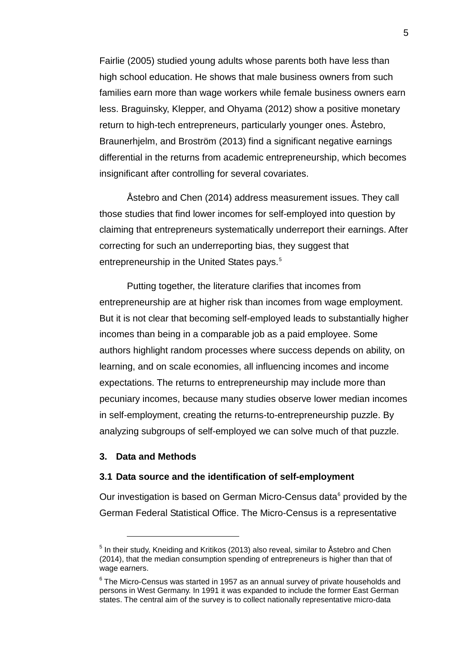Fairlie (2005) studied young adults whose parents both have less than high school education. He shows that male business owners from such families earn more than wage workers while female business owners earn less. Braguinsky, Klepper, and Ohyama (2012) show a positive monetary return to high-tech entrepreneurs, particularly younger ones. Åstebro, Braunerhjelm, and Broström (2013) find a significant negative earnings differential in the returns from academic entrepreneurship, which becomes insignificant after controlling for several covariates.

Åstebro and Chen (2014) address measurement issues. They call those studies that find lower incomes for self-employed into question by claiming that entrepreneurs systematically underreport their earnings. After correcting for such an underreporting bias, they suggest that entrepreneurship in the United States pays.<sup>[5](#page-6-0)</sup>

Putting together, the literature clarifies that incomes from entrepreneurship are at higher risk than incomes from wage employment. But it is not clear that becoming self-employed leads to substantially higher incomes than being in a comparable job as a paid employee. Some authors highlight random processes where success depends on ability, on learning, and on scale economies, all influencing incomes and income expectations. The returns to entrepreneurship may include more than pecuniary incomes, because many studies observe lower median incomes in self-employment, creating the returns-to-entrepreneurship puzzle. By analyzing subgroups of self-employed we can solve much of that puzzle.

#### **3. Data and Methods**

 $\overline{a}$ 

#### **3.1 Data source and the identification of self-employment**

Our investigation is based on German Micro-Census data<sup>[6](#page-7-0)</sup> provided by the German Federal Statistical Office. The Micro-Census is a representative

 $5$  In their study, Kneiding and Kritikos (2013) also reveal, similar to Åstebro and Chen (2014), that the median consumption spending of entrepreneurs is higher than that of wage earners.

<span id="page-7-0"></span> $6$  The Micro-Census was started in 1957 as an annual survey of private households and persons in West Germany. In 1991 it was expanded to include the former East German states. The central aim of the survey is to collect nationally representative micro-data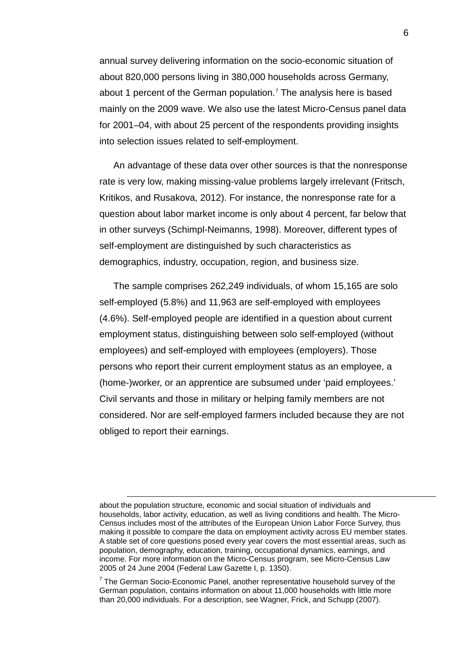annual survey delivering information on the socio-economic situation of about 820,000 persons living in 380,000 households across Germany, about 1 percent of the German population.<sup>[7](#page-7-0)</sup> The analysis here is based mainly on the 2009 wave. We also use the latest Micro-Census panel data for 2001–04, with about 25 percent of the respondents providing insights into selection issues related to self-employment.

An advantage of these data over other sources is that the nonresponse rate is very low, making missing-value problems largely irrelevant (Fritsch, Kritikos, and Rusakova, 2012). For instance, the nonresponse rate for a question about labor market income is only about 4 percent, far below that in other surveys (Schimpl-Neimanns, 1998). Moreover, different types of self-employment are distinguished by such characteristics as demographics, industry, occupation, region, and business size.

The sample comprises 262,249 individuals, of whom 15,165 are solo self-employed (5.8%) and 11,963 are self-employed with employees (4.6%). Self-employed people are identified in a question about current employment status, distinguishing between solo self-employed (without employees) and self-employed with employees (employers). Those persons who report their current employment status as an employee, a (home-)worker, or an apprentice are subsumed under 'paid employees.' Civil servants and those in military or helping family members are not considered. Nor are self-employed farmers included because they are not obliged to report their earnings.

about the population structure, economic and social situation of individuals and households, labor activity, education, as well as living conditions and health. The Micro-Census includes most of the attributes of the European Union Labor Force Survey, thus making it possible to compare the data on employment activity across EU member states. A stable set of core questions posed every year covers the most essential areas, such as population, demography, education, training, occupational dynamics, earnings, and income. For more information on the Micro-Census program, see Micro-Census Law 2005 of 24 June 2004 (Federal Law Gazette I, p. 1350).

<span id="page-8-0"></span> $7$  The German Socio-Economic Panel, another representative household survey of the German population, contains information on about 11,000 households with little more than 20,000 individuals. For a description, see Wagner, Frick, and Schupp (2007).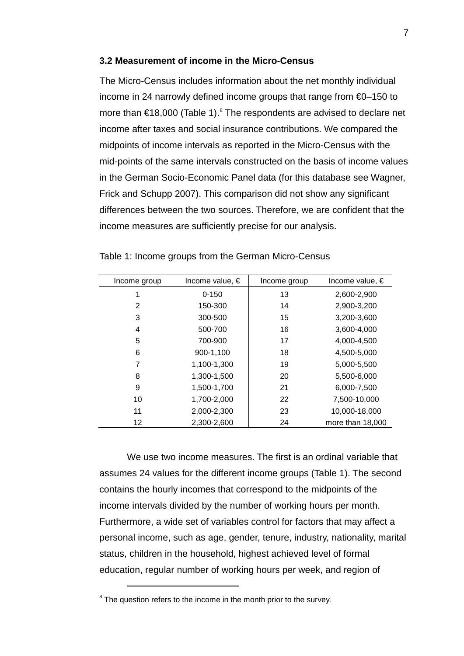#### **3.2 Measurement of income in the Micro-Census**

The Micro-Census includes information about the net monthly individual income in 24 narrowly defined income groups that range from €0–150 to more than €1[8](#page-8-0),000 (Table 1).<sup>8</sup> The respondents are advised to declare net income after taxes and social insurance contributions. We compared the midpoints of income intervals as reported in the Micro-Census with the mid-points of the same intervals constructed on the basis of income values in the German Socio-Economic Panel data (for this database see Wagner, Frick and Schupp 2007). This comparison did not show any significant differences between the two sources. Therefore, we are confident that the income measures are sufficiently precise for our analysis.

| Income group | Income value, $\epsilon$ | Income group | Income value, $\in$ |
|--------------|--------------------------|--------------|---------------------|
|              | $0 - 150$                | 13           | 2,600-2,900         |
| 2            | 150-300                  | 14           | 2,900-3,200         |
| 3            | 300-500                  | 15           | 3,200-3,600         |
| 4            | 500-700                  | 16           | 3,600-4,000         |
| 5            | 700-900                  | 17           | 4,000-4,500         |
| 6            | 900-1,100                | 18           | 4,500-5,000         |
|              | 1,100-1,300              | 19           | 5,000-5,500         |
| 8            | 1,300-1,500              | 20           | 5,500-6,000         |
| 9            | 1,500-1,700              | 21           | 6,000-7,500         |
| 10           | 1,700-2,000              | 22           | 7,500-10,000        |
| 11           | 2,000-2,300              | 23           | 10,000-18,000       |
| 12           | 2,300-2,600              | 24           | more than 18,000    |

We use two income measures. The first is an ordinal variable that assumes 24 values for the different income groups (Table 1). The second contains the hourly incomes that correspond to the midpoints of the income intervals divided by the number of working hours per month. Furthermore, a wide set of variables control for factors that may affect a personal income, such as age, gender, tenure, industry, nationality, marital status, children in the household, highest achieved level of formal education, regular number of working hours per week, and region of

<span id="page-9-0"></span> $8$  The question refers to the income in the month prior to the survey.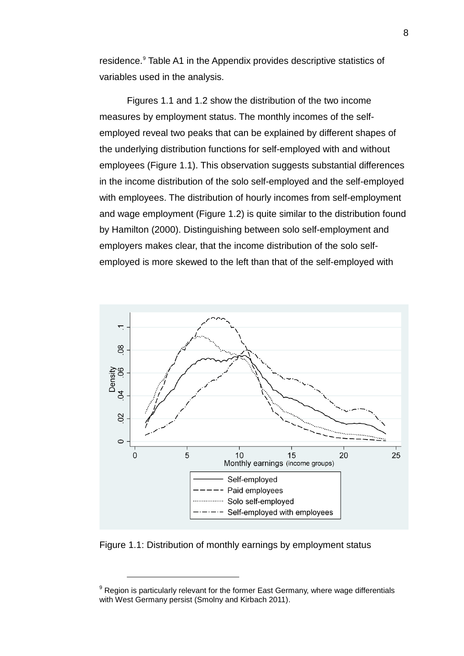residence. [9](#page-9-0) Table A1 in the Appendix provides descriptive statistics of variables used in the analysis.

Figures 1.1 and 1.2 show the distribution of the two income measures by employment status. The monthly incomes of the selfemployed reveal two peaks that can be explained by different shapes of the underlying distribution functions for self-employed with and without employees (Figure 1.1). This observation suggests substantial differences in the income distribution of the solo self-employed and the self-employed with employees. The distribution of hourly incomes from self-employment and wage employment (Figure 1.2) is quite similar to the distribution found by Hamilton (2000). Distinguishing between solo self-employment and employers makes clear, that the income distribution of the solo selfemployed is more skewed to the left than that of the self-employed with



Figure 1.1: Distribution of monthly earnings by employment status

<span id="page-10-0"></span><sup>&</sup>lt;sup>9</sup> Region is particularly relevant for the former East Germany, where wage differentials with West Germany persist (Smolny and Kirbach 2011).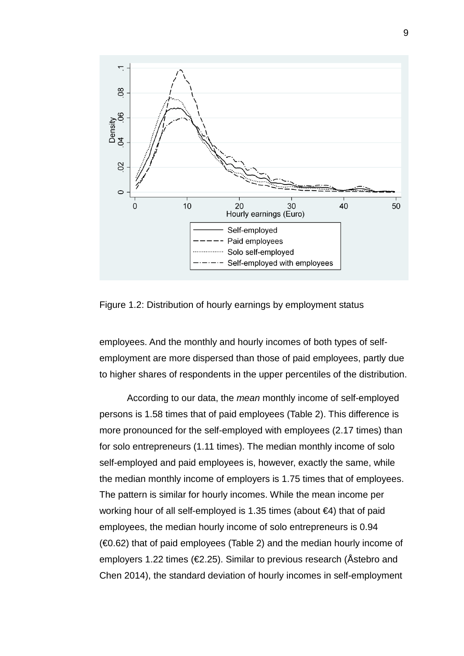

Figure 1.2: Distribution of hourly earnings by employment status

employees. And the monthly and hourly incomes of both types of selfemployment are more dispersed than those of paid employees, partly due to higher shares of respondents in the upper percentiles of the distribution.

According to our data, the *mean* monthly income of self-employed persons is 1.58 times that of paid employees (Table 2). This difference is more pronounced for the self-employed with employees (2.17 times) than for solo entrepreneurs (1.11 times). The median monthly income of solo self-employed and paid employees is, however, exactly the same, while the median monthly income of employers is 1.75 times that of employees. The pattern is similar for hourly incomes. While the mean income per working hour of all self-employed is 1.35 times (about €4) that of paid employees, the median hourly income of solo entrepreneurs is 0.94 (€0.62) that of paid employees (Table 2) and the median hourly income of employers 1.22 times ( $\epsilon$ 2.25). Similar to previous research (Åstebro and Chen 2014), the standard deviation of hourly incomes in self-employment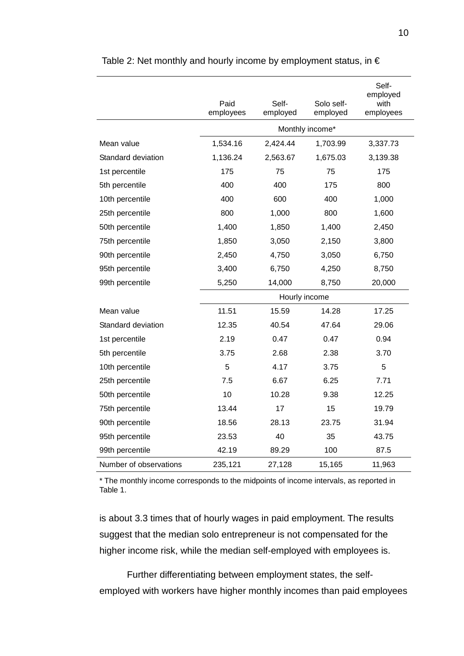|                        | Paid<br>employees | Self-<br>employed | Solo self-<br>employed | Self-<br>employed<br>with<br>employees |  |  |  |
|------------------------|-------------------|-------------------|------------------------|----------------------------------------|--|--|--|
|                        |                   |                   |                        |                                        |  |  |  |
| Mean value             | 1,534.16          | 2,424.44          | 1,703.99               | 3,337.73                               |  |  |  |
| Standard deviation     | 1,136.24          | 2,563.67          | 1,675.03               | 3,139.38                               |  |  |  |
| 1st percentile         | 175               | 75                | 75                     | 175                                    |  |  |  |
| 5th percentile         | 400               | 400               | 175                    | 800                                    |  |  |  |
| 10th percentile        | 400               | 600               | 400                    | 1,000                                  |  |  |  |
| 25th percentile        | 800               | 1,000             | 800                    | 1,600                                  |  |  |  |
| 50th percentile        | 1,400             | 1,850             | 1,400                  | 2,450                                  |  |  |  |
| 75th percentile        | 1,850             | 3,050             | 2,150                  | 3,800                                  |  |  |  |
| 90th percentile        | 2,450             | 4,750             | 3,050                  | 6,750                                  |  |  |  |
| 95th percentile        | 3,400             | 6,750             | 4,250                  | 8,750                                  |  |  |  |
| 99th percentile        | 5,250             | 14,000            | 8,750                  | 20,000                                 |  |  |  |
|                        | Hourly income     |                   |                        |                                        |  |  |  |
| Mean value             | 11.51             | 15.59             | 14.28                  | 17.25                                  |  |  |  |
| Standard deviation     | 12.35             | 40.54             | 47.64                  | 29.06                                  |  |  |  |
| 1st percentile         | 2.19              | 0.47              | 0.47                   | 0.94                                   |  |  |  |
| 5th percentile         | 3.75              | 2.68              | 2.38                   | 3.70                                   |  |  |  |
| 10th percentile        | 5                 | 4.17              | 3.75                   | 5                                      |  |  |  |
| 25th percentile        | 7.5               | 6.67              | 6.25                   | 7.71                                   |  |  |  |
| 50th percentile        | 10                | 10.28             | 9.38                   | 12.25                                  |  |  |  |
| 75th percentile        | 13.44             | 17                | 15                     | 19.79                                  |  |  |  |
| 90th percentile        | 18.56             | 28.13             | 23.75                  | 31.94                                  |  |  |  |
| 95th percentile        | 23.53             | 40                | 35                     | 43.75                                  |  |  |  |
| 99th percentile        | 42.19             | 89.29             | 100                    | 87.5                                   |  |  |  |
| Number of observations | 235,121           | 27,128            | 15,165                 | 11,963                                 |  |  |  |

Table 2: Net monthly and hourly income by employment status, in  $\epsilon$ 

\* The monthly income corresponds to the midpoints of income intervals, as reported in Table 1.

is about 3.3 times that of hourly wages in paid employment. The results suggest that the median solo entrepreneur is not compensated for the higher income risk, while the median self-employed with employees is.

Further differentiating between employment states, the selfemployed with workers have higher monthly incomes than paid employees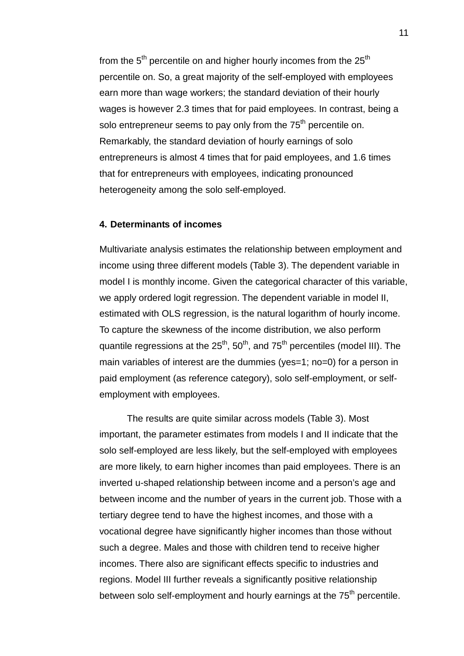from the  $5<sup>th</sup>$  percentile on and higher hourly incomes from the 25<sup>th</sup> percentile on. So, a great majority of the self-employed with employees earn more than wage workers; the standard deviation of their hourly wages is however 2.3 times that for paid employees. In contrast, being a solo entrepreneur seems to pay only from the 75<sup>th</sup> percentile on. Remarkably, the standard deviation of hourly earnings of solo entrepreneurs is almost 4 times that for paid employees, and 1.6 times that for entrepreneurs with employees, indicating pronounced heterogeneity among the solo self-employed.

#### **4. Determinants of incomes**

Multivariate analysis estimates the relationship between employment and income using three different models (Table 3). The dependent variable in model I is monthly income. Given the categorical character of this variable, we apply ordered logit regression. The dependent variable in model II, estimated with OLS regression, is the natural logarithm of hourly income. To capture the skewness of the income distribution, we also perform quantile regressions at the  $25<sup>th</sup>$ ,  $50<sup>th</sup>$ , and  $75<sup>th</sup>$  percentiles (model III). The main variables of interest are the dummies (yes=1; no=0) for a person in paid employment (as reference category), solo self-employment, or selfemployment with employees.

The results are quite similar across models (Table 3). Most important, the parameter estimates from models I and II indicate that the solo self-employed are less likely, but the self-employed with employees are more likely, to earn higher incomes than paid employees. There is an inverted u-shaped relationship between income and a person's age and between income and the number of years in the current job. Those with a tertiary degree tend to have the highest incomes, and those with a vocational degree have significantly higher incomes than those without such a degree. Males and those with children tend to receive higher incomes. There also are significant effects specific to industries and regions. Model III further reveals a significantly positive relationship between solo self-employment and hourly earnings at the 75<sup>th</sup> percentile.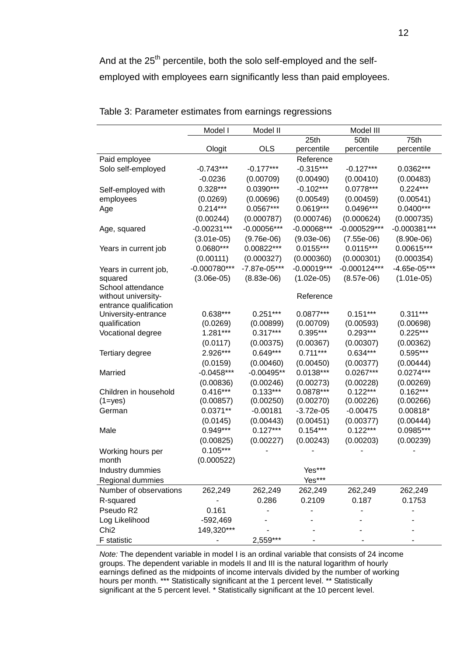And at the 25<sup>th</sup> percentile, both the solo self-employed and the selfemployed with employees earn significantly less than paid employees.

|                                      | Model I                 | Model II                |                        | Model III               |                         |
|--------------------------------------|-------------------------|-------------------------|------------------------|-------------------------|-------------------------|
|                                      |                         |                         | 25th                   | 50th                    | 75th                    |
|                                      | Ologit                  | <b>OLS</b>              | percentile             | percentile              | percentile              |
| Paid employee                        |                         |                         | Reference              |                         |                         |
| Solo self-employed                   | $-0.743***$             | $-0.177***$             | $-0.315***$            | $-0.127***$             | 0.0362***               |
|                                      | $-0.0236$               | (0.00709)               | (0.00490)              | (0.00410)               | (0.00483)               |
| Self-employed with                   | $0.328***$              | 0.0390***               | $-0.102***$            | $0.0778***$             | $0.224***$              |
| employees                            | (0.0269)                | (0.00696)               | (0.00549)              | (0.00459)               | (0.00541)               |
| Age                                  | $0.214***$              | $0.0567***$             | $0.0619***$            | 0.0496***               | $0.0400***$             |
|                                      | (0.00244)               | (0.000787)              | (0.000746)             | (0.000624)              | (0.000735)              |
| Age, squared                         | $-0.00231***$           | $-0.00056***$           | $-0.00068***$          | $-0.000529***$          | $-0.000381***$          |
|                                      | $(3.01e-05)$            | $(9.76e-06)$            | $(9.03e-06)$           | $(7.55e-06)$            | $(8.90e-06)$            |
| Years in current job                 | 0.0680***               | 0.00822***              | $0.0155***$            | $0.0115***$             | 0.00615***              |
|                                      | (0.00111)               | (0.000327)              | (0.000360)             | (0.000301)              | (0.000354)              |
| Years in current job,                | $-0.000780***$          | -7.87e-05***            | $-0.00019***$          | $-0.000124***$          | $-4.65e-05***$          |
| squared                              | $(3.06e-05)$            | $(8.83e-06)$            | $(1.02e-05)$           | $(8.57e-06)$            | $(1.01e-05)$            |
| School attendance                    |                         |                         |                        |                         |                         |
| without university-                  |                         |                         | Reference              |                         |                         |
| entrance qualification               |                         |                         |                        |                         |                         |
| University-entrance                  | $0.638***$              | $0.251***$              | 0.0877***              | $0.151***$              | $0.311***$              |
| qualification                        | (0.0269)                | (0.00899)               | (0.00709)              | (0.00593)               | (0.00698)               |
| Vocational degree                    | $1.281***$              | $0.317***$              | 0.395***               | $0.293***$              | $0.225***$              |
|                                      | (0.0117)                | (0.00375)               | (0.00367)              | (0.00307)               | (0.00362)               |
| Tertiary degree                      | 2.926***                | $0.649***$              | $0.711***$             | $0.634***$              | 0.595***                |
|                                      | (0.0159)                | (0.00460)               | (0.00450)              | (0.00377)               | (0.00444)               |
| Married                              | $-0.0458***$            | $-0.00495**$            | $0.0138***$            | $0.0267***$             | $0.0274***$             |
|                                      | (0.00836)               | (0.00246)               | (0.00273)              | (0.00228)<br>$0.122***$ | (0.00269)               |
| Children in household<br>$(1 = yes)$ | $0.416***$<br>(0.00857) | $0.133***$<br>(0.00250) | 0.0878***<br>(0.00270) | (0.00226)               | $0.162***$<br>(0.00266) |
| German                               | $0.0371**$              | $-0.00181$              | $-3.72e-05$            | $-0.00475$              | 0.00818*                |
|                                      | (0.0145)                | (0.00443)               | (0.00451)              | (0.00377)               | (0.00444)               |
| Male                                 | $0.949***$              | $0.127***$              | $0.154***$             | $0.122***$              | 0.0985***               |
|                                      | (0.00825)               | (0.00227)               | (0.00243)              | (0.00203)               | (0.00239)               |
|                                      | $0.105***$              |                         |                        |                         |                         |
| Working hours per<br>month           | (0.000522)              |                         |                        |                         |                         |
| Industry dummies                     |                         |                         | Yes***                 |                         |                         |
| Regional dummies                     |                         |                         | Yes***                 |                         |                         |
| Number of observations               | 262,249                 | 262,249                 | 262,249                | 262,249                 | 262,249                 |
| R-squared                            |                         | 0.286                   | 0.2109                 | 0.187                   | 0.1753                  |
| Pseudo R2                            | 0.161                   |                         |                        |                         |                         |
| Log Likelihood                       | $-592,469$              |                         |                        |                         |                         |
| Chi <sub>2</sub>                     | 149,320***              |                         |                        |                         |                         |
|                                      |                         |                         |                        |                         |                         |
| <b>F</b> statistic                   |                         | 2,559***                |                        |                         |                         |

#### Table 3: Parameter estimates from earnings regressions

*Note:* The dependent variable in model I is an ordinal variable that consists of 24 income groups. The dependent variable in models II and III is the natural logarithm of hourly earnings defined as the midpoints of income intervals divided by the number of working hours per month. \*\*\* Statistically significant at the 1 percent level. \*\* Statistically significant at the 5 percent level. \* Statistically significant at the 10 percent level.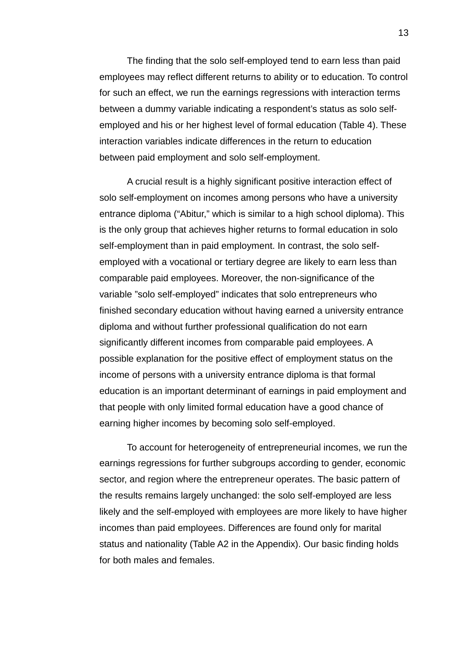The finding that the solo self-employed tend to earn less than paid employees may reflect different returns to ability or to education. To control for such an effect, we run the earnings regressions with interaction terms between a dummy variable indicating a respondent's status as solo selfemployed and his or her highest level of formal education (Table 4). These interaction variables indicate differences in the return to education between paid employment and solo self-employment.

A crucial result is a highly significant positive interaction effect of solo self-employment on incomes among persons who have a university entrance diploma ("Abitur," which is similar to a high school diploma). This is the only group that achieves higher returns to formal education in solo self-employment than in paid employment. In contrast, the solo selfemployed with a vocational or tertiary degree are likely to earn less than comparable paid employees. Moreover, the non-significance of the variable "solo self-employed" indicates that solo entrepreneurs who finished secondary education without having earned a university entrance diploma and without further professional qualification do not earn significantly different incomes from comparable paid employees. A possible explanation for the positive effect of employment status on the income of persons with a university entrance diploma is that formal education is an important determinant of earnings in paid employment and that people with only limited formal education have a good chance of earning higher incomes by becoming solo self-employed.

To account for heterogeneity of entrepreneurial incomes, we run the earnings regressions for further subgroups according to gender, economic sector, and region where the entrepreneur operates. The basic pattern of the results remains largely unchanged: the solo self-employed are less likely and the self-employed with employees are more likely to have higher incomes than paid employees. Differences are found only for marital status and nationality (Table A2 in the Appendix). Our basic finding holds for both males and females.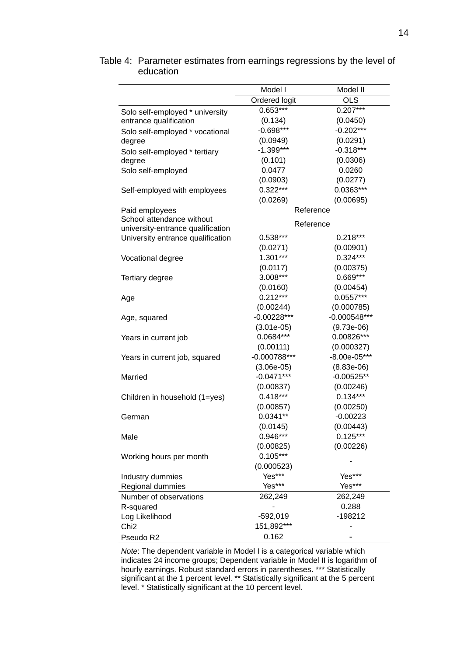|                                                                | Model I        | Model II       |
|----------------------------------------------------------------|----------------|----------------|
|                                                                | Ordered logit  | <b>OLS</b>     |
| Solo self-employed * university                                | $0.653***$     | $0.207***$     |
| entrance qualification                                         | (0.134)        | (0.0450)       |
| Solo self-employed * vocational                                | $-0.698***$    | $-0.202***$    |
| degree                                                         | (0.0949)       | (0.0291)       |
| Solo self-employed * tertiary                                  | $-1.399***$    | $-0.318***$    |
| degree                                                         | (0.101)        | (0.0306)       |
| Solo self-employed                                             | 0.0477         | 0.0260         |
|                                                                | (0.0903)       | (0.0277)       |
| Self-employed with employees                                   | $0.322***$     | 0.0363***      |
|                                                                | (0.0269)       | (0.00695)      |
| Paid employees                                                 |                | Reference      |
| School attendance without<br>university-entrance qualification |                | Reference      |
| University entrance qualification                              | $0.538***$     | $0.218***$     |
|                                                                | (0.0271)       | (0.00901)      |
| Vocational degree                                              | $1.301***$     | $0.324***$     |
|                                                                | (0.0117)       | (0.00375)      |
| Tertiary degree                                                | 3.008***       | $0.669***$     |
|                                                                | (0.0160)       | (0.00454)      |
| Age                                                            | $0.212***$     | $0.0557***$    |
|                                                                | (0.00244)      | (0.000785)     |
| Age, squared                                                   | $-0.00228***$  | $-0.000548***$ |
|                                                                | $(3.01e-05)$   | $(9.73e-06)$   |
| Years in current job                                           | 0.0684***      | 0.00826***     |
|                                                                | (0.00111)      | (0.000327)     |
| Years in current job, squared                                  | $-0.000788***$ | $-8.00e-05***$ |
|                                                                | $(3.06e-05)$   | $(8.83e-06)$   |
| Married                                                        | $-0.0471***$   | $-0.00525**$   |
|                                                                | (0.00837)      | (0.00246)      |
| Children in household (1=yes)                                  | $0.418***$     | $0.134***$     |
|                                                                | (0.00857)      | (0.00250)      |
| German                                                         | $0.0341**$     | $-0.00223$     |
|                                                                | (0.0145)       | (0.00443)      |
| Male                                                           | 0.946***       | $0.125***$     |
|                                                                | (0.00825)      | (0.00226)      |
| Working hours per month                                        | $0.105***$     |                |
|                                                                | (0.000523)     |                |
| Industry dummies                                               | Yes***         | Yes***         |
| Regional dummies                                               | Yes***         | Yes***         |
| Number of observations                                         | 262,249        | 262,249        |
| R-squared                                                      |                | 0.288          |
| Log Likelihood                                                 | $-592,019$     | $-198212$      |
| Chi <sub>2</sub>                                               | 151,892***     | ۰              |
| Pseudo R2                                                      | 0.162          |                |

### Table 4: Parameter estimates from earnings regressions by the level of education

*Note*: The dependent variable in Model I is a categorical variable which indicates 24 income groups; Dependent variable in Model II is logarithm of hourly earnings. Robust standard errors in parentheses. \*\*\* Statistically significant at the 1 percent level. \*\* Statistically significant at the 5 percent level. \* Statistically significant at the 10 percent level.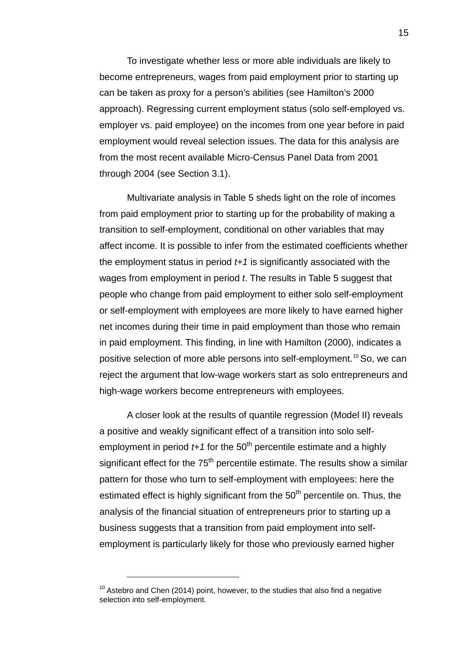To investigate whether less or more able individuals are likely to become entrepreneurs, wages from paid employment prior to starting up can be taken as proxy for a person's abilities (see Hamilton's 2000 approach). Regressing current employment status (solo self-employed vs. employer vs. paid employee) on the incomes from one year before in paid employment would reveal selection issues. The data for this analysis are from the most recent available Micro-Census Panel Data from 2001 through 2004 (see Section 3.1).

Multivariate analysis in Table 5 sheds light on the role of incomes from paid employment prior to starting up for the probability of making a transition to self-employment, conditional on other variables that may affect income. It is possible to infer from the estimated coefficients whether the employment status in period *t+1* is significantly associated with the wages from employment in period *t*. The results in Table 5 suggest that people who change from paid employment to either solo self-employment or self-employment with employees are more likely to have earned higher net incomes during their time in paid employment than those who remain in paid employment. This finding, in line with Hamilton (2000), indicates a positive selection of more able persons into self-employment.<sup>[10](#page-10-0)</sup> So, we can reject the argument that low-wage workers start as solo entrepreneurs and high-wage workers become entrepreneurs with employees.

A closer look at the results of quantile regression (Model II) reveals a positive and weakly significant effect of a transition into solo selfemployment in period  $t+1$  for the 50<sup>th</sup> percentile estimate and a highly significant effect for the  $75<sup>th</sup>$  percentile estimate. The results show a similar pattern for those who turn to self-employment with employees: here the estimated effect is highly significant from the  $50<sup>th</sup>$  percentile on. Thus, the analysis of the financial situation of entrepreneurs prior to starting up a business suggests that a transition from paid employment into selfemployment is particularly likely for those who previously earned higher

<span id="page-17-0"></span> $10$  Astebro and Chen (2014) point, however, to the studies that also find a negative selection into self-employment.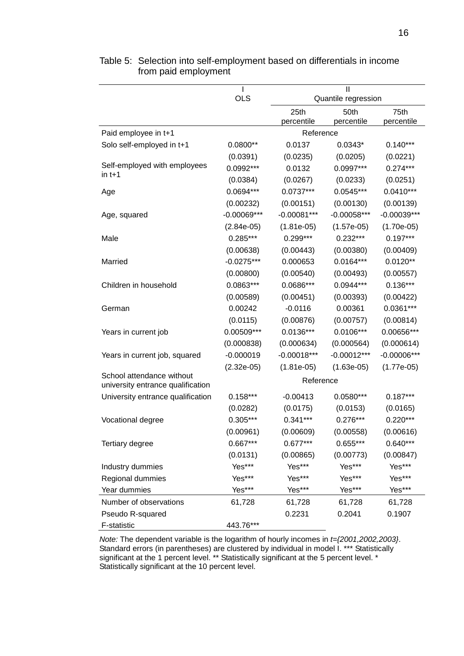|                                                                | <b>OLS</b>    | Ш<br>Quantile regression |               |               |  |
|----------------------------------------------------------------|---------------|--------------------------|---------------|---------------|--|
|                                                                |               | 25th                     | 50th          | 75th          |  |
|                                                                |               | percentile               | percentile    | percentile    |  |
| Paid employee in t+1                                           |               | Reference                |               |               |  |
| Solo self-employed in t+1                                      | $0.0800**$    | 0.0137                   | $0.0343*$     | $0.140***$    |  |
|                                                                | (0.0391)      | (0.0235)                 | (0.0205)      | (0.0221)      |  |
| Self-employed with employees                                   | 0.0992***     | 0.0132                   | 0.0997***     | $0.274***$    |  |
| in $t+1$                                                       | (0.0384)      | (0.0267)                 | (0.0233)      | (0.0251)      |  |
| Age                                                            | 0.0694***     | $0.0737***$              | $0.0545***$   | $0.0410***$   |  |
|                                                                | (0.00232)     | (0.00151)                | (0.00130)     | (0.00139)     |  |
| Age, squared                                                   | $-0.00069***$ | $-0.00081***$            | $-0.00058***$ | $-0.00039***$ |  |
|                                                                | $(2.84e-05)$  | $(1.81e-05)$             | $(1.57e-05)$  | $(1.70e-05)$  |  |
| Male                                                           | $0.285***$    | $0.299***$               | $0.232***$    | $0.197***$    |  |
|                                                                | (0.00638)     | (0.00443)                | (0.00380)     | (0.00409)     |  |
| Married                                                        | $-0.0275***$  | 0.000653                 | 0.0164***     | $0.0120**$    |  |
|                                                                | (0.00800)     | (0.00540)                | (0.00493)     | (0.00557)     |  |
| Children in household                                          | 0.0863***     | 0.0686***                | 0.0944***     | $0.136***$    |  |
|                                                                | (0.00589)     | (0.00451)                | (0.00393)     | (0.00422)     |  |
| German                                                         | 0.00242       | $-0.0116$                | 0.00361       | 0.0361***     |  |
|                                                                | (0.0115)      | (0.00876)                | (0.00757)     | (0.00814)     |  |
| Years in current job                                           | 0.00509***    | $0.0136***$              | $0.0106***$   | 0.00656***    |  |
|                                                                | (0.000838)    | (0.000634)               | (0.000564)    | (0.000614)    |  |
| Years in current job, squared                                  | $-0.000019$   | $-0.00018***$            | $-0.00012***$ | $-0.00006***$ |  |
|                                                                | $(2.32e-05)$  | $(1.81e-05)$             | $(1.63e-05)$  | $(1.77e-05)$  |  |
| School attendance without<br>university entrance qualification |               | Reference                |               |               |  |
| University entrance qualification                              | $0.158***$    | $-0.00413$               | $0.0580***$   | $0.187***$    |  |
|                                                                | (0.0282)      | (0.0175)                 | (0.0153)      | (0.0165)      |  |
| Vocational degree                                              | $0.305***$    | $0.341***$               | $0.276***$    | $0.220***$    |  |
|                                                                | (0.00961)     | (0.00609)                | (0.00558)     | (0.00616)     |  |
| Tertiary degree                                                | $0.667***$    | $0.677***$               | $0.655***$    | $0.640***$    |  |
|                                                                | (0.0131)      | (0.00865)                | (0.00773)     | (0.00847)     |  |
| Industry dummies                                               | Yes***        | Yes***                   | Yes***        | Yes***        |  |
| Regional dummies                                               | Yes***        | Yes***                   | Yes***        | Yes***        |  |
| Year dummies                                                   | Yes***        | Yes***                   | Yes***        | Yes***        |  |
| Number of observations                                         | 61,728        | 61,728                   | 61,728        | 61,728        |  |
| Pseudo R-squared                                               |               | 0.2231                   | 0.2041        | 0.1907        |  |
| F-statistic                                                    | 443.76***     |                          |               |               |  |

### Table 5: Selection into self-employment based on differentials in income from paid employment

*Note:* The dependent variable is the logarithm of hourly incomes in *t={2001,2002,2003}*. Standard errors (in parentheses) are clustered by individual in model I. \*\*\* Statistically significant at the 1 percent level. \*\* Statistically significant at the 5 percent level. \* Statistically significant at the 10 percent level.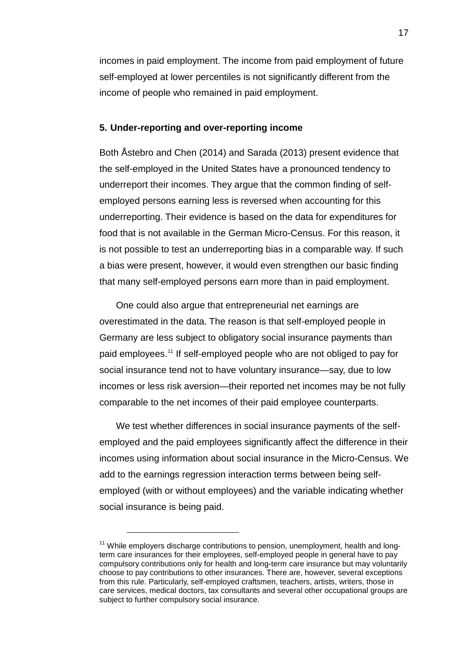incomes in paid employment. The income from paid employment of future self-employed at lower percentiles is not significantly different from the income of people who remained in paid employment.

#### **5. Under-reporting and over-reporting income**

Both Åstebro and Chen (2014) and Sarada (2013) present evidence that the self-employed in the United States have a pronounced tendency to underreport their incomes. They argue that the common finding of selfemployed persons earning less is reversed when accounting for this underreporting. Their evidence is based on the data for expenditures for food that is not available in the German Micro-Census. For this reason, it is not possible to test an underreporting bias in a comparable way. If such a bias were present, however, it would even strengthen our basic finding that many self-employed persons earn more than in paid employment.

One could also argue that entrepreneurial net earnings are overestimated in the data. The reason is that self-employed people in Germany are less subject to obligatory social insurance payments than paid employees.[11](#page-17-0) If self-employed people who are not obliged to pay for social insurance tend not to have voluntary insurance—say, due to low incomes or less risk aversion—their reported net incomes may be not fully comparable to the net incomes of their paid employee counterparts.

We test whether differences in social insurance payments of the selfemployed and the paid employees significantly affect the difference in their incomes using information about social insurance in the Micro-Census. We add to the earnings regression interaction terms between being selfemployed (with or without employees) and the variable indicating whether social insurance is being paid.

<span id="page-19-0"></span> $11$  While employers discharge contributions to pension, unemployment, health and longterm care insurances for their employees, self-employed people in general have to pay compulsory contributions only for health and long-term care insurance but may voluntarily choose to pay contributions to other insurances. There are, however, several exceptions from this rule. Particularly, self-employed craftsmen, teachers, artists, writers, those in care services, medical doctors, tax consultants and several other occupational groups are subject to further compulsory social insurance.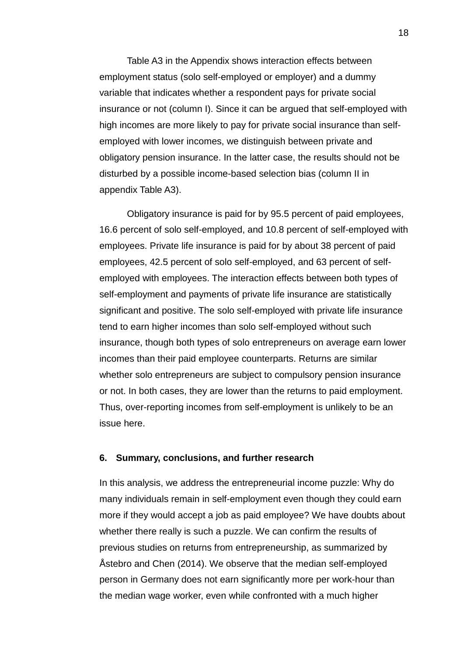Table A3 in the Appendix shows interaction effects between employment status (solo self-employed or employer) and a dummy variable that indicates whether a respondent pays for private social insurance or not (column I). Since it can be argued that self-employed with high incomes are more likely to pay for private social insurance than selfemployed with lower incomes, we distinguish between private and obligatory pension insurance. In the latter case, the results should not be disturbed by a possible income-based selection bias (column II in appendix Table A3).

Obligatory insurance is paid for by 95.5 percent of paid employees, 16.6 percent of solo self-employed, and 10.8 percent of self-employed with employees. Private life insurance is paid for by about 38 percent of paid employees, 42.5 percent of solo self-employed, and 63 percent of selfemployed with employees. The interaction effects between both types of self-employment and payments of private life insurance are statistically significant and positive. The solo self-employed with private life insurance tend to earn higher incomes than solo self-employed without such insurance, though both types of solo entrepreneurs on average earn lower incomes than their paid employee counterparts. Returns are similar whether solo entrepreneurs are subject to compulsory pension insurance or not. In both cases, they are lower than the returns to paid employment. Thus, over-reporting incomes from self-employment is unlikely to be an issue here.

#### **6. Summary, conclusions, and further research**

In this analysis, we address the entrepreneurial income puzzle: Why do many individuals remain in self-employment even though they could earn more if they would accept a job as paid employee? We have doubts about whether there really is such a puzzle. We can confirm the results of previous studies on returns from entrepreneurship, as summarized by Åstebro and Chen (2014). We observe that the median self-employed person in Germany does not earn significantly more per work-hour than the median wage worker, even while confronted with a much higher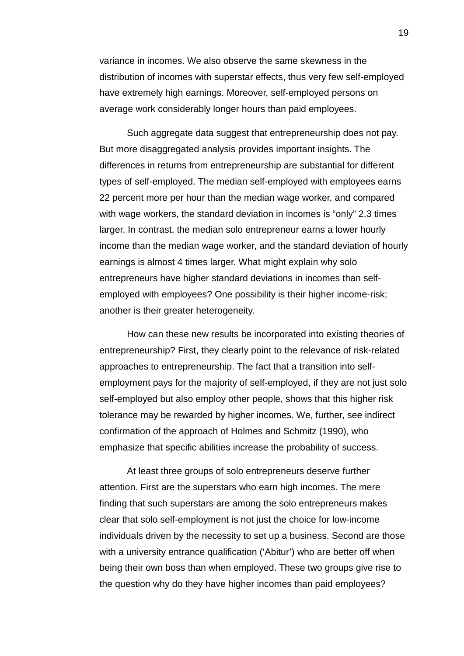variance in incomes. We also observe the same skewness in the distribution of incomes with superstar effects, thus very few self-employed have extremely high earnings. Moreover, self-employed persons on average work considerably longer hours than paid employees.

Such aggregate data suggest that entrepreneurship does not pay. But more disaggregated analysis provides important insights. The differences in returns from entrepreneurship are substantial for different types of self-employed. The median self-employed with employees earns 22 percent more per hour than the median wage worker, and compared with wage workers, the standard deviation in incomes is "only" 2.3 times larger. In contrast, the median solo entrepreneur earns a lower hourly income than the median wage worker, and the standard deviation of hourly earnings is almost 4 times larger. What might explain why solo entrepreneurs have higher standard deviations in incomes than selfemployed with employees? One possibility is their higher income-risk; another is their greater heterogeneity.

How can these new results be incorporated into existing theories of entrepreneurship? First, they clearly point to the relevance of risk-related approaches to entrepreneurship. The fact that a transition into selfemployment pays for the majority of self-employed, if they are not just solo self-employed but also employ other people, shows that this higher risk tolerance may be rewarded by higher incomes. We, further, see indirect confirmation of the approach of Holmes and Schmitz (1990), who emphasize that specific abilities increase the probability of success.

At least three groups of solo entrepreneurs deserve further attention. First are the superstars who earn high incomes. The mere finding that such superstars are among the solo entrepreneurs makes clear that solo self-employment is not just the choice for low-income individuals driven by the necessity to set up a business. Second are those with a university entrance qualification ('Abitur') who are better off when being their own boss than when employed. These two groups give rise to the question why do they have higher incomes than paid employees?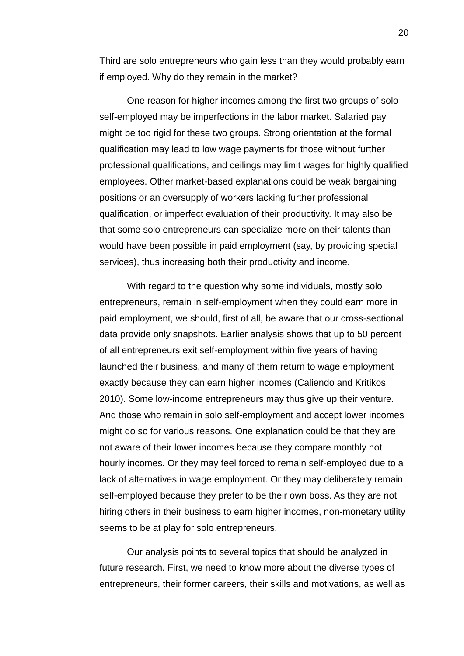Third are solo entrepreneurs who gain less than they would probably earn if employed. Why do they remain in the market?

One reason for higher incomes among the first two groups of solo self-employed may be imperfections in the labor market. Salaried pay might be too rigid for these two groups. Strong orientation at the formal qualification may lead to low wage payments for those without further professional qualifications, and ceilings may limit wages for highly qualified employees. Other market-based explanations could be weak bargaining positions or an oversupply of workers lacking further professional qualification, or imperfect evaluation of their productivity. It may also be that some solo entrepreneurs can specialize more on their talents than would have been possible in paid employment (say, by providing special services), thus increasing both their productivity and income.

With regard to the question why some individuals, mostly solo entrepreneurs, remain in self-employment when they could earn more in paid employment, we should, first of all, be aware that our cross-sectional data provide only snapshots. Earlier analysis shows that up to 50 percent of all entrepreneurs exit self-employment within five years of having launched their business, and many of them return to wage employment exactly because they can earn higher incomes (Caliendo and Kritikos 2010). Some low-income entrepreneurs may thus give up their venture. And those who remain in solo self-employment and accept lower incomes might do so for various reasons. One explanation could be that they are not aware of their lower incomes because they compare monthly not hourly incomes. Or they may feel forced to remain self-employed due to a lack of alternatives in wage employment. Or they may deliberately remain self-employed because they prefer to be their own boss. As they are not hiring others in their business to earn higher incomes, non-monetary utility seems to be at play for solo entrepreneurs.

Our analysis points to several topics that should be analyzed in future research. First, we need to know more about the diverse types of entrepreneurs, their former careers, their skills and motivations, as well as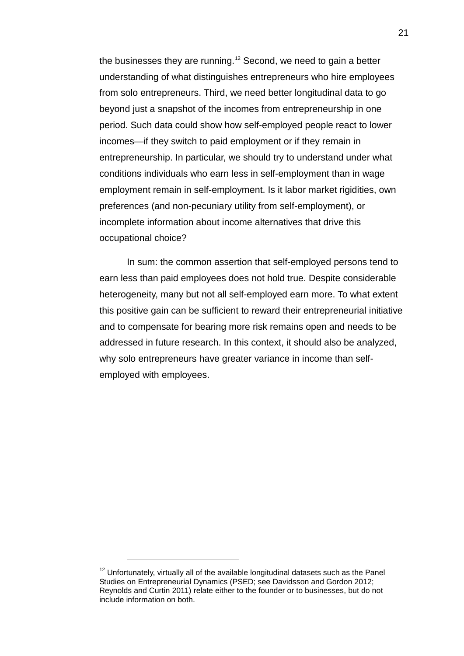the businesses they are running.<sup>[12](#page-19-0)</sup> Second, we need to gain a better understanding of what distinguishes entrepreneurs who hire employees from solo entrepreneurs. Third, we need better longitudinal data to go beyond just a snapshot of the incomes from entrepreneurship in one period. Such data could show how self-employed people react to lower incomes—if they switch to paid employment or if they remain in entrepreneurship. In particular, we should try to understand under what conditions individuals who earn less in self-employment than in wage employment remain in self-employment. Is it labor market rigidities, own preferences (and non-pecuniary utility from self-employment), or incomplete information about income alternatives that drive this occupational choice?

In sum: the common assertion that self-employed persons tend to earn less than paid employees does not hold true. Despite considerable heterogeneity, many but not all self-employed earn more. To what extent this positive gain can be sufficient to reward their entrepreneurial initiative and to compensate for bearing more risk remains open and needs to be addressed in future research. In this context, it should also be analyzed, why solo entrepreneurs have greater variance in income than selfemployed with employees.

 $12$  Unfortunately, virtually all of the available longitudinal datasets such as the Panel Studies on Entrepreneurial Dynamics (PSED; see Davidsson and Gordon 2012; Reynolds and Curtin 2011) relate either to the founder or to businesses, but do not include information on both.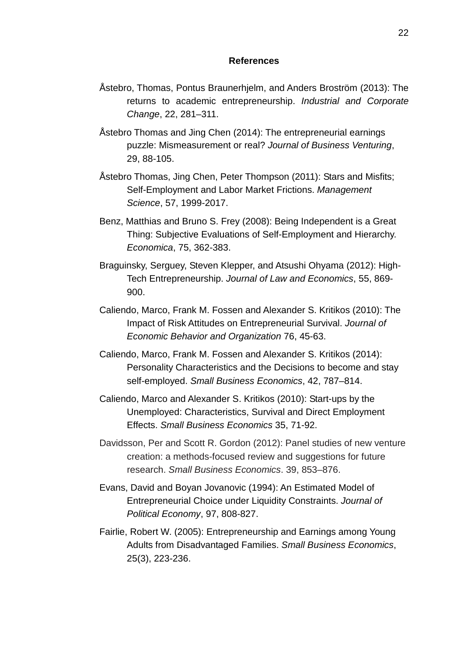#### **References**

- Åstebro, Thomas, Pontus Braunerhjelm, and Anders Broström (2013): The returns to academic entrepreneurship. *Industrial and Corporate Change*, 22, 281–311.
- Åstebro Thomas and Jing Chen (2014): The entrepreneurial earnings puzzle: Mismeasurement or real? *Journal of Business Venturing*, 29, 88-105.
- Åstebro Thomas, Jing Chen, Peter Thompson (2011): Stars and Misfits; Self-Employment and Labor Market Frictions. *Management Science*, 57, 1999-2017.
- Benz, Matthias and Bruno S. Frey (2008): Being Independent is a Great Thing: Subjective Evaluations of Self-Employment and Hierarchy. *Economica*, 75, 362-383.
- Braguinsky, Serguey, Steven Klepper, and Atsushi Ohyama (2012): High-Tech Entrepreneurship. *Journal of Law and Economics*, 55, 869- 900.
- Caliendo, Marco, Frank M. Fossen and Alexander S. Kritikos (2010): The Impact of Risk Attitudes on Entrepreneurial Survival. *Journal of Economic Behavior and Organization* 76, 45-63.
- Caliendo, Marco, Frank M. Fossen and Alexander S. Kritikos (2014): Personality Characteristics and the Decisions to become and stay self-employed. *Small Business Economics*, 42, 787–814.
- Caliendo, Marco and Alexander S. Kritikos (2010): Start-ups by the Unemployed: Characteristics, Survival and Direct Employment Effects. *Small Business Economics* 35, 71-92.
- Davidsson, Per and Scott R. Gordon (2012): Panel studies of new venture creation: a methods-focused review and suggestions for future research. *Small Business Economics*. 39, 853–876.
- Evans, David and Boyan Jovanovic (1994): An Estimated Model of Entrepreneurial Choice under Liquidity Constraints. *Journal of Political Economy*, 97, 808-827.
- Fairlie, Robert W. (2005): Entrepreneurship and Earnings among Young Adults from Disadvantaged Families. *Small Business Economics*, 25(3), 223-236.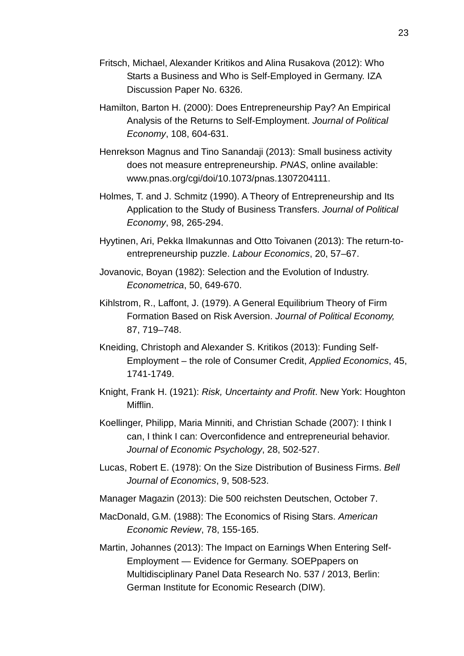- Fritsch, Michael, Alexander Kritikos and Alina Rusakova (2012): Who Starts a Business and Who is Self-Employed in Germany. IZA Discussion Paper No. 6326.
- Hamilton, Barton H. (2000): Does Entrepreneurship Pay? An Empirical Analysis of the Returns to Self-Employment. *Journal of Political Economy*, 108, 604-631.
- Henrekson Magnus and Tino Sanandaji (2013): Small business activity does not measure entrepreneurship. *PNAS*, online available: www.pnas.org/cgi/doi/10.1073/pnas.1307204111.
- Holmes, T. and J. Schmitz (1990). A Theory of Entrepreneurship and Its Application to the Study of Business Transfers. *Journal of Political Economy*, 98, 265-294.
- Hyytinen, Ari, Pekka Ilmakunnas and Otto Toivanen (2013): The return-toentrepreneurship puzzle. *Labour Economics*, 20, 57–67.
- Jovanovic, Boyan (1982): Selection and the Evolution of Industry. *Econometrica*, 50, 649-670.
- Kihlstrom, R., Laffont, J. (1979). A General Equilibrium Theory of Firm Formation Based on Risk Aversion. *Journal of Political Economy,* 87, 719–748.
- Kneiding, Christoph and Alexander S. Kritikos (2013): Funding Self-Employment – the role of Consumer Credit, *Applied Economics*, 45, 1741-1749.
- Knight, Frank H. (1921): *Risk, Uncertainty and Profit*. New York: Houghton Mifflin.
- Koellinger, Philipp, Maria Minniti, and Christian Schade (2007): I think I can, I think I can: Overconfidence and entrepreneurial behavior. *Journal of Economic Psychology*, 28, 502-527.
- Lucas, Robert E. (1978): On the Size Distribution of Business Firms. *Bell Journal of Economics*, 9, 508-523.
- Manager Magazin (2013): Die 500 reichsten Deutschen, October 7.
- MacDonald, G.M. (1988): The Economics of Rising Stars. *American Economic Review*, 78, 155-165.
- Martin, Johannes (2013): The Impact on Earnings When Entering Self-Employment — Evidence for Germany. SOEPpapers on Multidisciplinary Panel Data Research No. 537 / 2013, Berlin: German Institute for Economic Research (DIW).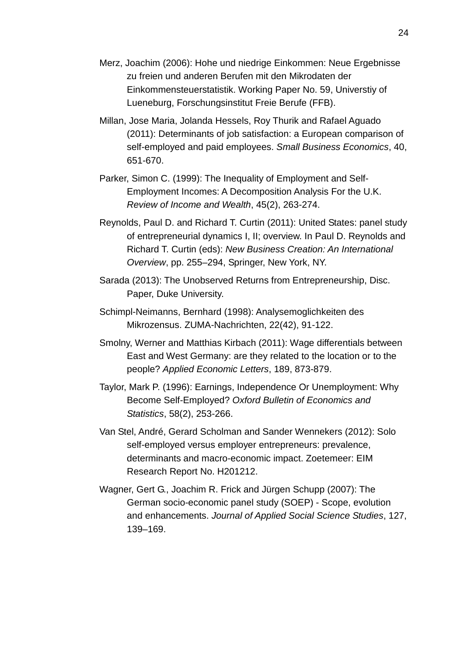- Merz, Joachim (2006): Hohe und niedrige Einkommen: Neue Ergebnisse zu freien und anderen Berufen mit den Mikrodaten der Einkommensteuerstatistik. Working Paper No. 59, Universtiy of Lueneburg, Forschungsinstitut Freie Berufe (FFB).
- Millan, Jose Maria, Jolanda Hessels, Roy Thurik and Rafael Aguado (2011): Determinants of job satisfaction: a European comparison of self-employed and paid employees. *Small Business Economics*, 40, 651-670.
- Parker, Simon C. (1999): The Inequality of Employment and Self-Employment Incomes: A Decomposition Analysis For the U.K. *Review of Income and Wealth*, 45(2), 263-274.
- Reynolds, Paul D. and Richard T. Curtin (2011): United States: panel study of entrepreneurial dynamics I, II; overview. In Paul D. Reynolds and Richard T. Curtin (eds): *New Business Creation: An International Overview*, pp. 255–294, Springer, New York, NY.
- Sarada (2013): The Unobserved Returns from Entrepreneurship, Disc. Paper, Duke University.
- Schimpl-Neimanns, Bernhard (1998): Analysemoglichkeiten des Mikrozensus. ZUMA-Nachrichten, 22(42), 91-122.
- Smolny, Werner and Matthias Kirbach (2011): Wage differentials between East and West Germany: are they related to the location or to the people? *Applied Economic Letters*, 189, 873-879.
- Taylor, Mark P. (1996): Earnings, Independence Or Unemployment: Why Become Self-Employed? *Oxford Bulletin of Economics and Statistics*, 58(2), 253-266.
- Van Stel, André, Gerard Scholman and Sander Wennekers (2012): Solo self-employed versus employer entrepreneurs: prevalence, determinants and macro-economic impact. Zoetemeer: EIM Research Report No. H201212.
- Wagner, Gert G., Joachim R. Frick and Jürgen Schupp (2007): The German socio-economic panel study (SOEP) - Scope, evolution and enhancements. *Journal of Applied Social Science Studies*, 127, 139–169.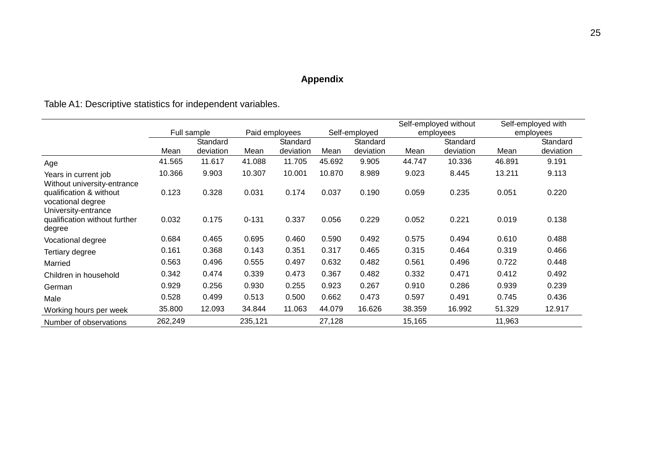# **Appendix**

Table A1: Descriptive statistics for independent variables.

|                                                                     |                               |                       |           |                       |               |                       |        | Self-employed without |        | Self-employed with    |
|---------------------------------------------------------------------|-------------------------------|-----------------------|-----------|-----------------------|---------------|-----------------------|--------|-----------------------|--------|-----------------------|
|                                                                     | Paid employees<br>Full sample |                       |           |                       | Self-employed | employees             |        | employees             |        |                       |
|                                                                     | Mean                          | Standard<br>deviation | Mean      | Standard<br>deviation | Mean          | Standard<br>deviation | Mean   | Standard<br>deviation | Mean   | Standard<br>deviation |
| Age                                                                 | 41.565                        | 11.617                | 41.088    | 11.705                | 45.692        | 9.905                 | 44.747 | 10.336                | 46.891 | 9.191                 |
| Years in current job<br>Without university-entrance                 | 10.366                        | 9.903                 | 10.307    | 10.001                | 10.870        | 8.989                 | 9.023  | 8.445                 | 13.211 | 9.113                 |
| qualification & without<br>vocational degree<br>University-entrance | 0.123                         | 0.328                 | 0.031     | 0.174                 | 0.037         | 0.190                 | 0.059  | 0.235                 | 0.051  | 0.220                 |
| qualification without further<br>degree                             | 0.032                         | 0.175                 | $0 - 131$ | 0.337                 | 0.056         | 0.229                 | 0.052  | 0.221                 | 0.019  | 0.138                 |
| Vocational degree                                                   | 0.684                         | 0.465                 | 0.695     | 0.460                 | 0.590         | 0.492                 | 0.575  | 0.494                 | 0.610  | 0.488                 |
| Tertiary degree                                                     | 0.161                         | 0.368                 | 0.143     | 0.351                 | 0.317         | 0.465                 | 0.315  | 0.464                 | 0.319  | 0.466                 |
| Married                                                             | 0.563                         | 0.496                 | 0.555     | 0.497                 | 0.632         | 0.482                 | 0.561  | 0.496                 | 0.722  | 0.448                 |
| Children in household                                               | 0.342                         | 0.474                 | 0.339     | 0.473                 | 0.367         | 0.482                 | 0.332  | 0.471                 | 0.412  | 0.492                 |
| German                                                              | 0.929                         | 0.256                 | 0.930     | 0.255                 | 0.923         | 0.267                 | 0.910  | 0.286                 | 0.939  | 0.239                 |
| Male                                                                | 0.528                         | 0.499                 | 0.513     | 0.500                 | 0.662         | 0.473                 | 0.597  | 0.491                 | 0.745  | 0.436                 |
| Working hours per week                                              | 35.800                        | 12.093                | 34.844    | 11.063                | 44.079        | 16.626                | 38.359 | 16.992                | 51.329 | 12.917                |
| Number of observations                                              | 262,249                       |                       | 235,121   |                       | 27,128        |                       | 15,165 |                       | 11,963 |                       |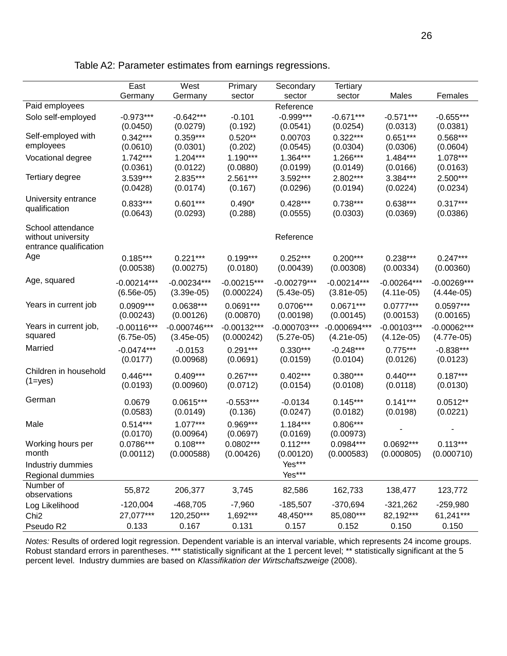|                                         | East          | West           | Primary       | Secondary      | <b>Tertiary</b> |               |               |
|-----------------------------------------|---------------|----------------|---------------|----------------|-----------------|---------------|---------------|
|                                         | Germany       | Germany        | sector        | sector         | sector          | Males         | Females       |
| Paid employees                          |               |                |               | Reference      |                 |               |               |
| Solo self-employed                      | $-0.973***$   | $-0.642***$    | $-0.101$      | $-0.999***$    | $-0.671***$     | $-0.571***$   | $-0.655***$   |
|                                         | (0.0450)      | (0.0279)       | (0.192)       | (0.0541)       | (0.0254)        | (0.0313)      | (0.0381)      |
| Self-employed with                      | $0.342***$    | $0.359***$     | $0.520**$     | 0.00703        | $0.322***$      | $0.651***$    | $0.568***$    |
| employees                               | (0.0610)      | (0.0301)       | (0.202)       | (0.0545)       | (0.0304)        | (0.0306)      | (0.0604)      |
| Vocational degree                       | $1.742***$    | 1.204***       | $1.190***$    | 1.364***       | 1.266***        | 1.484***      | 1.078***      |
|                                         | (0.0361)      | (0.0122)       | (0.0880)      | (0.0199)       | (0.0149)        | (0.0166)      | (0.0163)      |
| Tertiary degree                         | 3.539***      | 2.835***       | 2.561***      | 3.592***       | 2.802***        | 3.384***      | 2.500***      |
|                                         | (0.0428)      | (0.0174)       | (0.167)       | (0.0296)       | (0.0194)        | (0.0224)      | (0.0234)      |
| University entrance                     | $0.833***$    | $0.601***$     | $0.490*$      | $0.428***$     | $0.738***$      | $0.638***$    | $0.317***$    |
| qualification                           | (0.0643)      | (0.0293)       | (0.288)       | (0.0555)       | (0.0303)        | (0.0369)      | (0.0386)      |
|                                         |               |                |               |                |                 |               |               |
| School attendance<br>without university |               |                |               | Reference      |                 |               |               |
| entrance qualification                  |               |                |               |                |                 |               |               |
| Age                                     | $0.185***$    | $0.221***$     | $0.199***$    | $0.252***$     | $0.200***$      | $0.238***$    | $0.247***$    |
|                                         | (0.00538)     | (0.00275)      | (0.0180)      | (0.00439)      | (0.00308)       | (0.00334)     | (0.00360)     |
| Age, squared                            | $-0.00214***$ | $-0.00234***$  | $-0.00215***$ | $-0.00279***$  | $-0.00214***$   | $-0.00264***$ | $-0.00269***$ |
|                                         | $(6.56e-05)$  | $(3.39e-05)$   | (0.000224)    | $(5.43e-05)$   | $(3.81e-05)$    | $(4.11e-05)$  | $(4.44e-05)$  |
|                                         |               |                |               |                |                 |               |               |
| Years in current job                    | $0.0909***$   | $0.0638***$    | $0.0691***$   | 0.0706***      | $0.0671***$     | $0.0777***$   | $0.0597***$   |
|                                         | (0.00243)     | (0.00126)      | (0.00870)     | (0.00198)      | (0.00145)       | (0.00153)     | (0.00165)     |
| Years in current job,<br>squared        | $-0.00116***$ | $-0.000746***$ | $-0.00132***$ | $-0.000703***$ | $-0.000694***$  | $-0.00103***$ | $-0.00062***$ |
|                                         | $(6.75e-05)$  | $(3.45e-05)$   | (0.000242)    | $(5.27e-05)$   | $(4.21e-05)$    | $(4.12e-05)$  | $(4.77e-05)$  |
| Married                                 | $-0.0474***$  | $-0.0153$      | $0.291***$    | $0.330***$     | $-0.248***$     | $0.775***$    | $-0.838***$   |
|                                         | (0.0177)      | (0.00968)      | (0.0691)      | (0.0159)       | (0.0104)        | (0.0126)      | (0.0123)      |
| Children in household                   | $0.446***$    | $0.409***$     | $0.267***$    | $0.402***$     | $0.380***$      | $0.440***$    | $0.187***$    |
| $(1 = yes)$                             | (0.0193)      | (0.00960)      | (0.0712)      | (0.0154)       | (0.0108)        | (0.0118)      | (0.0130)      |
| German                                  | 0.0679        | $0.0615***$    | $-0.553***$   | $-0.0134$      | $0.145***$      | $0.141***$    | $0.0512**$    |
|                                         | (0.0583)      | (0.0149)       | (0.136)       | (0.0247)       | (0.0182)        | (0.0198)      | (0.0221)      |
|                                         | $0.514***$    | $1.077***$     | 0.969***      | $1.184***$     | $0.806***$      |               |               |
| Male                                    | (0.0170)      | (0.00964)      | (0.0697)      | (0.0169)       | (0.00973)       |               |               |
| Working hours per                       | 0.0786***     | $0.108***$     | 0.0802***     | $0.112***$     | $0.0984***$     | 0.0692***     | $0.113***$    |
| month                                   | (0.00112)     | (0.000588)     | (0.00426)     | (0.00120)      | (0.000583)      | (0.000805)    | (0.000710)    |
| Industriy dummies                       |               |                |               | Yes***         |                 |               |               |
| Regional dummies                        |               |                |               | Yes***         |                 |               |               |
| Number of                               |               |                |               |                |                 |               |               |
| observations                            | 55,872        | 206,377        | 3,745         | 82,586         | 162,733         | 138,477       | 123,772       |
| Log Likelihood                          | $-120,004$    | $-468,705$     | $-7,960$      | $-185,507$     | $-370,694$      | $-321,262$    | $-259,980$    |
| Chi <sub>2</sub>                        | 27,077***     | 120,250***     | 1,692***      | 48,450***      | 85,080***       | 82,192***     | 61,241***     |
| Pseudo R2                               | 0.133         | 0.167          | 0.131         | 0.157          | 0.152           | 0.150         | 0.150         |

Table A2: Parameter estimates from earnings regressions.

*Notes:* Results of ordered logit regression. Dependent variable is an interval variable, which represents 24 income groups. Robust standard errors in parentheses. \*\*\* statistically significant at the 1 percent level; \*\* statistically significant at the 5 percent level. Industry dummies are based on *Klassifikation der Wirtschaftszweige* (2008).